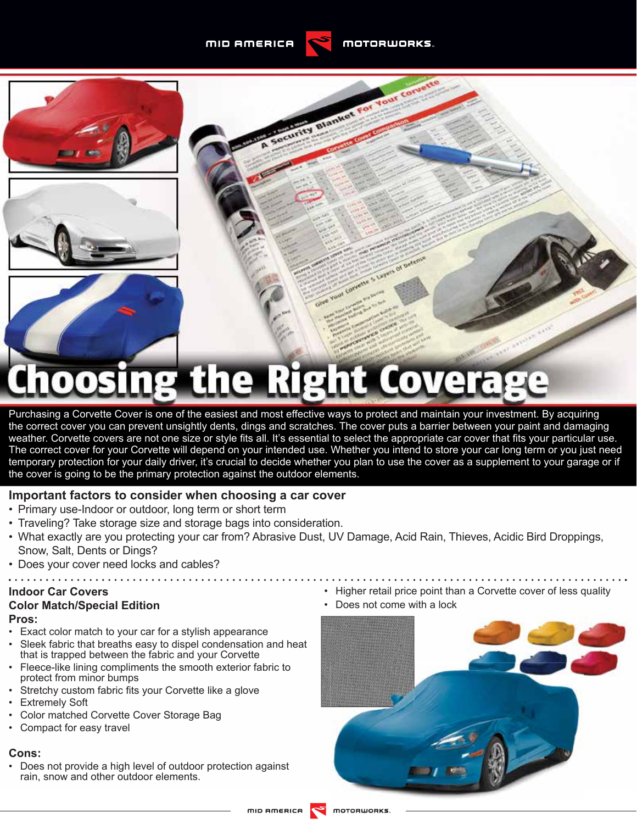

o Layers of







# hoosing the Right Coverage

Purchasing a Corvette Cover is one of the easiest and most effective ways to protect and maintain your investment. By acquiring the correct cover you can prevent unsightly dents, dings and scratches. The cover puts a barrier between your paint and damaging weather. Corvette covers are not one size or style fits all. It's essential to select the appropriate car cover that fits your particular use. The correct cover for your Corvette will depend on your intended use. Whether you intend to store your car long term or you just need temporary protection for your daily driver, it's crucial to decide whether you plan to use the cover as a supplement to your garage or if the cover is going to be the primary protection against the outdoor elements.

#### **Important factors to consider when choosing a car cover**

- Primary use-Indoor or outdoor, long term or short term
- Traveling? Take storage size and storage bags into consideration.
- What exactly are you protecting your car from? Abrasive Dust, UV Damage, Acid Rain, Thieves, Acidic Bird Droppings, Snow, Salt, Dents or Dings?
- Does your cover need locks and cables?

# **Indoor Car Covers**

# **Color Match/Special Edition**

- **Pros:**
- Exact color match to your car for a stylish appearance
- Sleek fabric that breaths easy to dispel condensation and heat that is trapped between the fabric and your Corvette
- Fleece-like lining compliments the smooth exterior fabric to protect from minor bumps
- Stretchy custom fabric fits your Corvette like a glove
- Extremely Soft
- Color matched Corvette Cover Storage Bag
- Compact for easy travel

#### **Cons:**

• Does not provide a high level of outdoor protection against rain, snow and other outdoor elements.

- Higher retail price point than a Corvette cover of less quality
- Does not come with a lock

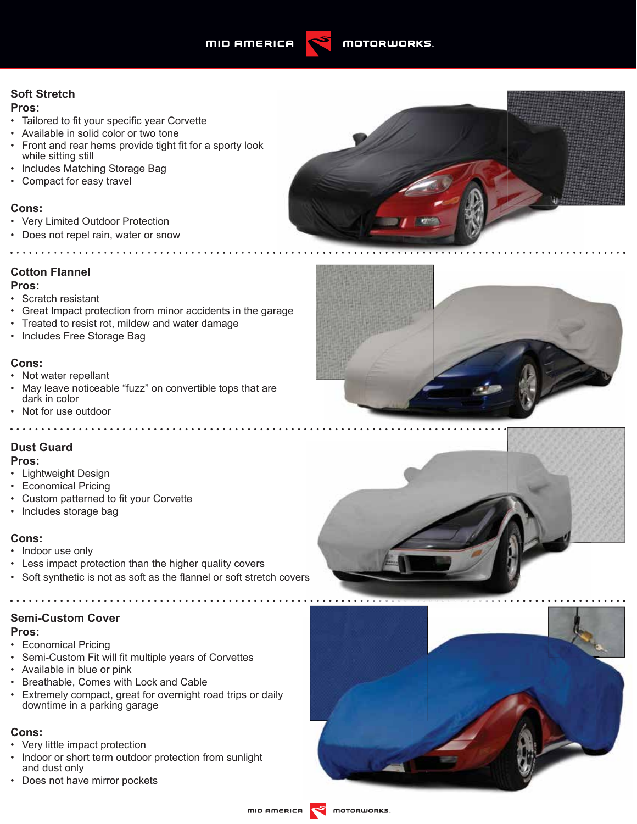#### **Soft Stretch**

#### **Pros:**

- Tailored to fit your specific year Corvette
- Available in solid color or two tone
- Front and rear hems provide tight fit for a sporty look while sitting still
- Includes Matching Storage Bag
- Compact for easy travel

#### **Cons:**

- Very Limited Outdoor Protection
- Does not repel rain, water or snow

. . . . . . . . . . . . . . . . . .

## **Cotton Flannel**

#### **Pros:**

- Scratch resistant
- Great Impact protection from minor accidents in the garage
- Treated to resist rot, mildew and water damage
- Includes Free Storage Bag

#### **Cons:**

- Not water repellant
- May leave noticeable "fuzz" on convertible tops that are dark in color
- Not for use outdoor

#### **Dust Guard**

#### **Pros:**

- Lightweight Design
- Economical Pricing
- Custom patterned to fit your Corvette
- Includes storage bag

#### **Cons:**

- Indoor use only
- Less impact protection than the higher quality covers
- Soft synthetic is not as soft as the flannel or soft stretch covers

## **Semi-Custom Cover**

#### **Pros:**

- Economical Pricing
- Semi-Custom Fit will fit multiple years of Corvettes
- Available in blue or pink
- Breathable, Comes with Lock and Cable
- Extremely compact, great for overnight road trips or daily downtime in a parking garage

#### **Cons:**

- Very little impact protection
- Indoor or short term outdoor protection from sunlight and dust only
- Does not have mirror pockets







motorworks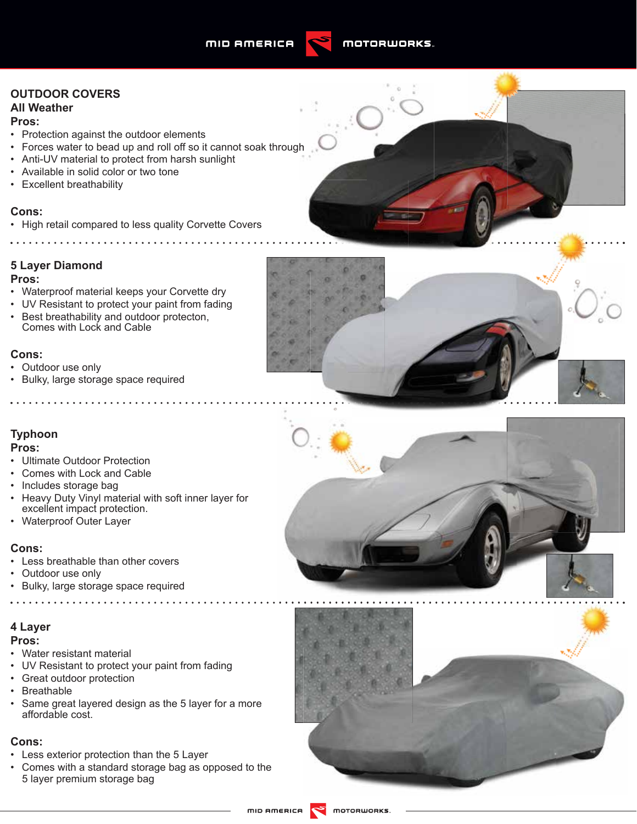

# **OUTDOOR COVERS All Weather**

#### **Pros:**

- Protection against the outdoor elements
- Forces water to bead up and roll off so it cannot soak through
- Anti-UV material to protect from harsh sunlight
- Available in solid color or two tone
- Excellent breathability

#### **Cons:**

• High retail compared to less quality Corvette Covers

#### **5 Layer Diamond**

#### **Pros:**

- Waterproof material keeps your Corvette dry
- UV Resistant to protect your paint from fading
- Best breathability and outdoor protecton, Comes with Lock and Cable

#### **Cons:**

- Outdoor use only
- Bulky, large storage space required

. . . . . . . . . . . . . . . .

## **Typhoon**

#### **Pros:**

- Ultimate Outdoor Protection
- Comes with Lock and Cable
- Includes storage bag
- Heavy Duty Vinyl material with soft inner layer for excellent impact protection.
- Waterproof Outer Layer

#### **Cons:**

- Less breathable than other covers
- Outdoor use only
- Bulky, large storage space required

#### **4 Layer**

#### **Pros:**

- Water resistant material
- UV Resistant to protect your paint from fading
- Great outdoor protection
- Breathable
- Same great layered design as the 5 layer for a more affordable cost.

. . . . . . . .

#### **Cons:**

- Less exterior protection than the 5 Layer
- Comes with a standard storage bag as opposed to the 5 layer premium storage bag